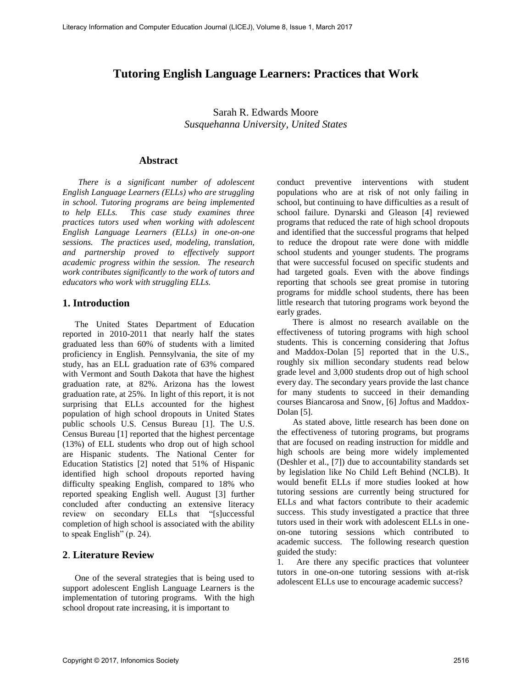# **Tutoring English Language Learners: Practices that Work**

Sarah R. Edwards Moore *Susquehanna University, United States*

#### **Abstract**

*There is a significant number of adolescent English Language Learners (ELLs) who are struggling in school. Tutoring programs are being implemented to help ELLs. This case study examines three practices tutors used when working with adolescent English Language Learners (ELLs) in one-on-one sessions. The practices used, modeling, translation, and partnership proved to effectively support academic progress within the session. The research work contributes significantly to the work of tutors and educators who work with struggling ELLs.* 

## **1. Introduction**

The United States Department of Education reported in 2010-2011 that nearly half the states graduated less than 60% of students with a limited proficiency in English. Pennsylvania, the site of my study, has an ELL graduation rate of 63% compared with Vermont and South Dakota that have the highest graduation rate, at 82%. Arizona has the lowest graduation rate, at 25%. In light of this report, it is not surprising that ELLs accounted for the highest population of high school dropouts in United States public schools U.S. Census Bureau [1]. The U.S. Census Bureau [1] reported that the highest percentage (13%) of ELL students who drop out of high school are Hispanic students. The National Center for Education Statistics [2] noted that 51% of Hispanic identified high school dropouts reported having difficulty speaking English, compared to 18% who reported speaking English well. August [3] further concluded after conducting an extensive literacy review on secondary ELLs that "[s]uccessful completion of high school is associated with the ability to speak English" (p. 24).

## **2**. **Literature Review**

One of the several strategies that is being used to support adolescent English Language Learners is the implementation of tutoring programs. With the high school dropout rate increasing, it is important to

conduct preventive interventions with student populations who are at risk of not only failing in school, but continuing to have difficulties as a result of school failure. Dynarski and Gleason [4] reviewed programs that reduced the rate of high school dropouts and identified that the successful programs that helped to reduce the dropout rate were done with middle school students and younger students. The programs that were successful focused on specific students and had targeted goals. Even with the above findings reporting that schools see great promise in tutoring programs for middle school students, there has been little research that tutoring programs work beyond the early grades.

There is almost no research available on the effectiveness of tutoring programs with high school students. This is concerning considering that Joftus and Maddox-Dolan [5] reported that in the U.S., roughly six million secondary students read below grade level and 3,000 students drop out of high school every day. The secondary years provide the last chance for many students to succeed in their demanding courses Biancarosa and Snow, [6] Joftus and Maddox-Dolan [5].

As stated above, little research has been done on the effectiveness of tutoring programs, but programs that are focused on reading instruction for middle and high schools are being more widely implemented (Deshler et al., [7]) due to accountability standards set by legislation like No Child Left Behind (NCLB). It would benefit ELLs if more studies looked at how tutoring sessions are currently being structured for ELLs and what factors contribute to their academic success. This study investigated a practice that three tutors used in their work with adolescent ELLs in oneon-one tutoring sessions which contributed to academic success. The following research question guided the study:

1. Are there any specific practices that volunteer tutors in one-on-one tutoring sessions with at-risk adolescent ELLs use to encourage academic success?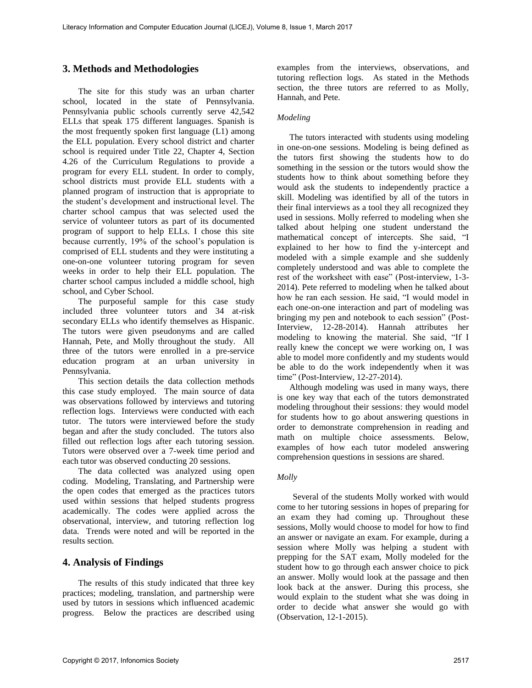# **3. Methods and Methodologies**

The site for this study was an urban charter school, located in the state of Pennsylvania. Pennsylvania public schools currently serve 42,542 ELLs that speak 175 different languages. Spanish is the most frequently spoken first language (L1) among the ELL population. Every school district and charter school is required under Title 22, Chapter 4, Section 4.26 of the Curriculum Regulations to provide a program for every ELL student. In order to comply, school districts must provide ELL students with a planned program of instruction that is appropriate to the student's development and instructional level. The charter school campus that was selected used the service of volunteer tutors as part of its documented program of support to help ELLs. I chose this site because currently, 19% of the school's population is comprised of ELL students and they were instituting a one-on-one volunteer tutoring program for seven weeks in order to help their ELL population. The charter school campus included a middle school, high school, and Cyber School.

The purposeful sample for this case study included three volunteer tutors and 34 at-risk secondary ELLs who identify themselves as Hispanic. The tutors were given pseudonyms and are called Hannah, Pete, and Molly throughout the study. All three of the tutors were enrolled in a pre-service education program at an urban university in Pennsylvania.

This section details the data collection methods this case study employed. The main source of data was observations followed by interviews and tutoring reflection logs. Interviews were conducted with each tutor. The tutors were interviewed before the study began and after the study concluded. The tutors also filled out reflection logs after each tutoring session. Tutors were observed over a 7-week time period and each tutor was observed conducting 20 sessions.

The data collected was analyzed using open coding. Modeling, Translating, and Partnership were the open codes that emerged as the practices tutors used within sessions that helped students progress academically. The codes were applied across the observational, interview, and tutoring reflection log data. Trends were noted and will be reported in the results section.

# **4. Analysis of Findings**

The results of this study indicated that three key practices; modeling, translation, and partnership were used by tutors in sessions which influenced academic progress. Below the practices are described using examples from the interviews, observations, and tutoring reflection logs. As stated in the Methods section, the three tutors are referred to as Molly, Hannah, and Pete.

### *Modeling*

The tutors interacted with students using modeling in one-on-one sessions. Modeling is being defined as the tutors first showing the students how to do something in the session or the tutors would show the students how to think about something before they would ask the students to independently practice a skill. Modeling was identified by all of the tutors in their final interviews as a tool they all recognized they used in sessions. Molly referred to modeling when she talked about helping one student understand the mathematical concept of intercepts. She said, "I explained to her how to find the y-intercept and modeled with a simple example and she suddenly completely understood and was able to complete the rest of the worksheet with ease" (Post-interview, 1-3- 2014). Pete referred to modeling when he talked about how he ran each session. He said, "I would model in each one-on-one interaction and part of modeling was bringing my pen and notebook to each session" (Post-Interview, 12-28-2014). Hannah attributes her modeling to knowing the material. She said, "If I really knew the concept we were working on, I was able to model more confidently and my students would be able to do the work independently when it was time" (Post-Interview, 12-27-2014).

Although modeling was used in many ways, there is one key way that each of the tutors demonstrated modeling throughout their sessions: they would model for students how to go about answering questions in order to demonstrate comprehension in reading and math on multiple choice assessments. Below, examples of how each tutor modeled answering comprehension questions in sessions are shared.

## *Molly*

 Several of the students Molly worked with would come to her tutoring sessions in hopes of preparing for an exam they had coming up. Throughout these sessions, Molly would choose to model for how to find an answer or navigate an exam. For example, during a session where Molly was helping a student with prepping for the SAT exam, Molly modeled for the student how to go through each answer choice to pick an answer. Molly would look at the passage and then look back at the answer. During this process, she would explain to the student what she was doing in order to decide what answer she would go with (Observation, 12-1-2015).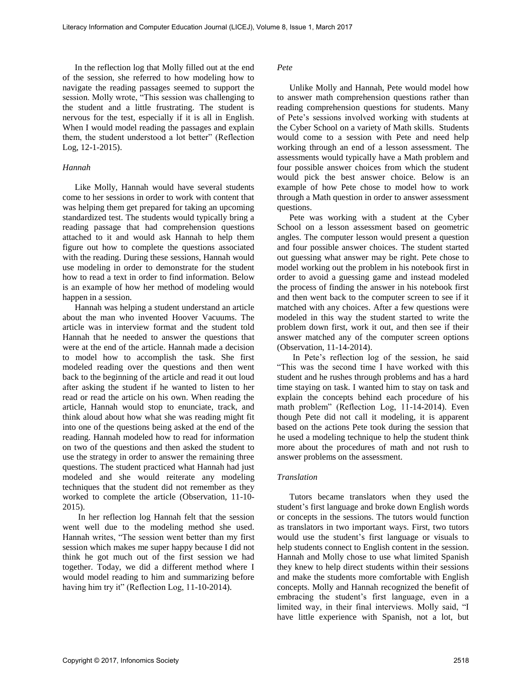In the reflection log that Molly filled out at the end of the session, she referred to how modeling how to navigate the reading passages seemed to support the session. Molly wrote, "This session was challenging to the student and a little frustrating. The student is nervous for the test, especially if it is all in English. When I would model reading the passages and explain them, the student understood a lot better" (Reflection Log, 12-1-2015).

#### *Hannah*

Like Molly, Hannah would have several students come to her sessions in order to work with content that was helping them get prepared for taking an upcoming standardized test. The students would typically bring a reading passage that had comprehension questions attached to it and would ask Hannah to help them figure out how to complete the questions associated with the reading. During these sessions, Hannah would use modeling in order to demonstrate for the student how to read a text in order to find information. Below is an example of how her method of modeling would happen in a session.

Hannah was helping a student understand an article about the man who invented Hoover Vacuums. The article was in interview format and the student told Hannah that he needed to answer the questions that were at the end of the article. Hannah made a decision to model how to accomplish the task. She first modeled reading over the questions and then went back to the beginning of the article and read it out loud after asking the student if he wanted to listen to her read or read the article on his own. When reading the article, Hannah would stop to enunciate, track, and think aloud about how what she was reading might fit into one of the questions being asked at the end of the reading. Hannah modeled how to read for information on two of the questions and then asked the student to use the strategy in order to answer the remaining three questions. The student practiced what Hannah had just modeled and she would reiterate any modeling techniques that the student did not remember as they worked to complete the article (Observation, 11-10- 2015).

 In her reflection log Hannah felt that the session went well due to the modeling method she used. Hannah writes, "The session went better than my first session which makes me super happy because I did not think he got much out of the first session we had together. Today, we did a different method where I would model reading to him and summarizing before having him try it" (Reflection Log, 11-10-2014).

*Pete* 

Unlike Molly and Hannah, Pete would model how to answer math comprehension questions rather than reading comprehension questions for students. Many of Pete's sessions involved working with students at the Cyber School on a variety of Math skills. Students would come to a session with Pete and need help working through an end of a lesson assessment. The assessments would typically have a Math problem and four possible answer choices from which the student would pick the best answer choice. Below is an example of how Pete chose to model how to work through a Math question in order to answer assessment questions.

Pete was working with a student at the Cyber School on a lesson assessment based on geometric angles. The computer lesson would present a question and four possible answer choices. The student started out guessing what answer may be right. Pete chose to model working out the problem in his notebook first in order to avoid a guessing game and instead modeled the process of finding the answer in his notebook first and then went back to the computer screen to see if it matched with any choices. After a few questions were modeled in this way the student started to write the problem down first, work it out, and then see if their answer matched any of the computer screen options (Observation, 11-14-2014).

In Pete's reflection log of the session, he said "This was the second time I have worked with this student and he rushes through problems and has a hard time staying on task. I wanted him to stay on task and explain the concepts behind each procedure of his math problem" (Reflection Log, 11-14-2014). Even though Pete did not call it modeling, it is apparent based on the actions Pete took during the session that he used a modeling technique to help the student think more about the procedures of math and not rush to answer problems on the assessment.

#### *Translation*

Tutors became translators when they used the student's first language and broke down English words or concepts in the sessions. The tutors would function as translators in two important ways. First, two tutors would use the student's first language or visuals to help students connect to English content in the session. Hannah and Molly chose to use what limited Spanish they knew to help direct students within their sessions and make the students more comfortable with English concepts. Molly and Hannah recognized the benefit of embracing the student's first language, even in a limited way, in their final interviews. Molly said, "I have little experience with Spanish, not a lot, but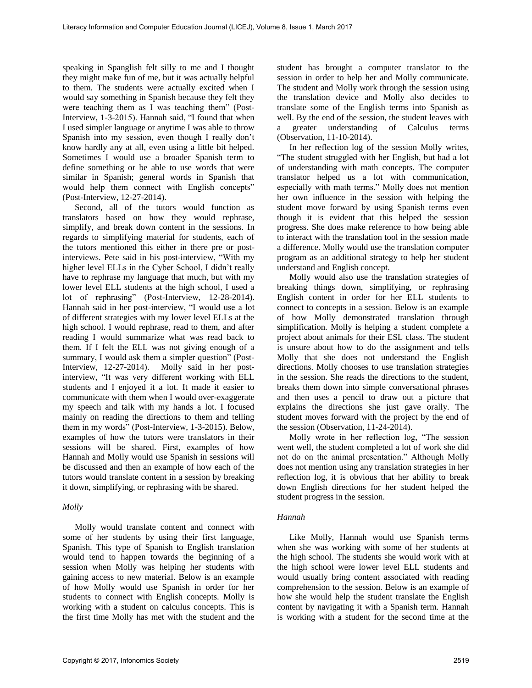speaking in Spanglish felt silly to me and I thought they might make fun of me, but it was actually helpful to them. The students were actually excited when I would say something in Spanish because they felt they were teaching them as I was teaching them" (Post-Interview, 1-3-2015). Hannah said, "I found that when I used simpler language or anytime I was able to throw Spanish into my session, even though I really don't know hardly any at all, even using a little bit helped. Sometimes I would use a broader Spanish term to define something or be able to use words that were similar in Spanish; general words in Spanish that would help them connect with English concepts" (Post-Interview, 12-27-2014).

Second, all of the tutors would function as translators based on how they would rephrase, simplify, and break down content in the sessions. In regards to simplifying material for students, each of the tutors mentioned this either in there pre or postinterviews. Pete said in his post-interview, "With my higher level ELLs in the Cyber School, I didn't really have to rephrase my language that much, but with my lower level ELL students at the high school, I used a lot of rephrasing" (Post-Interview, 12-28-2014). Hannah said in her post-interview, "I would use a lot of different strategies with my lower level ELLs at the high school. I would rephrase, read to them, and after reading I would summarize what was read back to them. If I felt the ELL was not giving enough of a summary, I would ask them a simpler question" (Post-Interview, 12-27-2014). Molly said in her postinterview, "It was very different working with ELL students and I enjoyed it a lot. It made it easier to communicate with them when I would over-exaggerate my speech and talk with my hands a lot. I focused mainly on reading the directions to them and telling them in my words" (Post-Interview, 1-3-2015). Below, examples of how the tutors were translators in their sessions will be shared. First, examples of how Hannah and Molly would use Spanish in sessions will be discussed and then an example of how each of the tutors would translate content in a session by breaking it down, simplifying, or rephrasing with be shared.

#### *Molly*

Molly would translate content and connect with some of her students by using their first language, Spanish. This type of Spanish to English translation would tend to happen towards the beginning of a session when Molly was helping her students with gaining access to new material. Below is an example of how Molly would use Spanish in order for her students to connect with English concepts. Molly is working with a student on calculus concepts. This is the first time Molly has met with the student and the student has brought a computer translator to the session in order to help her and Molly communicate. The student and Molly work through the session using the translation device and Molly also decides to translate some of the English terms into Spanish as well. By the end of the session, the student leaves with a greater understanding of Calculus terms (Observation, 11-10-2014).

In her reflection log of the session Molly writes, "The student struggled with her English, but had a lot of understanding with math concepts. The computer translator helped us a lot with communication, especially with math terms." Molly does not mention her own influence in the session with helping the student move forward by using Spanish terms even though it is evident that this helped the session progress. She does make reference to how being able to interact with the translation tool in the session made a difference. Molly would use the translation computer program as an additional strategy to help her student understand and English concept.

Molly would also use the translation strategies of breaking things down, simplifying, or rephrasing English content in order for her ELL students to connect to concepts in a session. Below is an example of how Molly demonstrated translation through simplification. Molly is helping a student complete a project about animals for their ESL class. The student is unsure about how to do the assignment and tells Molly that she does not understand the English directions. Molly chooses to use translation strategies in the session. She reads the directions to the student, breaks them down into simple conversational phrases and then uses a pencil to draw out a picture that explains the directions she just gave orally. The student moves forward with the project by the end of the session (Observation, 11-24-2014).

Molly wrote in her reflection log, "The session went well, the student completed a lot of work she did not do on the animal presentation." Although Molly does not mention using any translation strategies in her reflection log, it is obvious that her ability to break down English directions for her student helped the student progress in the session.

#### *Hannah*

Like Molly, Hannah would use Spanish terms when she was working with some of her students at the high school. The students she would work with at the high school were lower level ELL students and would usually bring content associated with reading comprehension to the session. Below is an example of how she would help the student translate the English content by navigating it with a Spanish term. Hannah is working with a student for the second time at the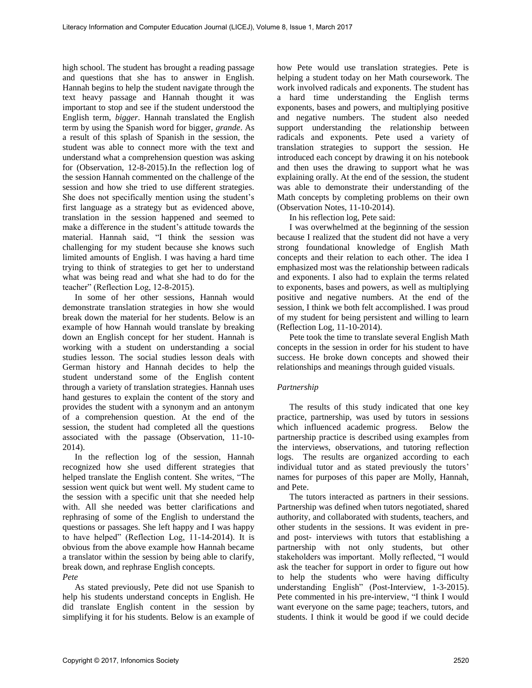high school. The student has brought a reading passage and questions that she has to answer in English. Hannah begins to help the student navigate through the text heavy passage and Hannah thought it was important to stop and see if the student understood the English term, *bigger*. Hannah translated the English term by using the Spanish word for bigger, *grande*. As a result of this splash of Spanish in the session, the student was able to connect more with the text and understand what a comprehension question was asking for (Observation, 12-8-2015).In the reflection log of the session Hannah commented on the challenge of the session and how she tried to use different strategies. She does not specifically mention using the student's first language as a strategy but as evidenced above, translation in the session happened and seemed to make a difference in the student's attitude towards the material. Hannah said, "I think the session was challenging for my student because she knows such limited amounts of English. I was having a hard time trying to think of strategies to get her to understand what was being read and what she had to do for the teacher" (Reflection Log, 12-8-2015).

In some of her other sessions, Hannah would demonstrate translation strategies in how she would break down the material for her students. Below is an example of how Hannah would translate by breaking down an English concept for her student. Hannah is working with a student on understanding a social studies lesson. The social studies lesson deals with German history and Hannah decides to help the student understand some of the English content through a variety of translation strategies. Hannah uses hand gestures to explain the content of the story and provides the student with a synonym and an antonym of a comprehension question. At the end of the session, the student had completed all the questions associated with the passage (Observation, 11-10- 2014).

In the reflection log of the session, Hannah recognized how she used different strategies that helped translate the English content. She writes, "The session went quick but went well. My student came to the session with a specific unit that she needed help with. All she needed was better clarifications and rephrasing of some of the English to understand the questions or passages. She left happy and I was happy to have helped" (Reflection Log, 11-14-2014). It is obvious from the above example how Hannah became a translator within the session by being able to clarify, break down, and rephrase English concepts. *Pete* 

As stated previously, Pete did not use Spanish to help his students understand concepts in English. He did translate English content in the session by simplifying it for his students. Below is an example of how Pete would use translation strategies. Pete is helping a student today on her Math coursework. The work involved radicals and exponents. The student has a hard time understanding the English terms exponents, bases and powers, and multiplying positive and negative numbers. The student also needed support understanding the relationship between radicals and exponents. Pete used a variety of translation strategies to support the session. He introduced each concept by drawing it on his notebook and then uses the drawing to support what he was explaining orally. At the end of the session, the student was able to demonstrate their understanding of the Math concepts by completing problems on their own (Observation Notes, 11-10-2014).

In his reflection log, Pete said:

I was overwhelmed at the beginning of the session because I realized that the student did not have a very strong foundational knowledge of English Math concepts and their relation to each other. The idea I emphasized most was the relationship between radicals and exponents. I also had to explain the terms related to exponents, bases and powers, as well as multiplying positive and negative numbers. At the end of the session, I think we both felt accomplished. I was proud of my student for being persistent and willing to learn (Reflection Log, 11-10-2014).

Pete took the time to translate several English Math concepts in the session in order for his student to have success. He broke down concepts and showed their relationships and meanings through guided visuals.

## *Partnership*

The results of this study indicated that one key practice, partnership, was used by tutors in sessions which influenced academic progress. Below the partnership practice is described using examples from the interviews, observations, and tutoring reflection logs. The results are organized according to each individual tutor and as stated previously the tutors' names for purposes of this paper are Molly, Hannah, and Pete.

The tutors interacted as partners in their sessions. Partnership was defined when tutors negotiated, shared authority, and collaborated with students, teachers, and other students in the sessions. It was evident in preand post- interviews with tutors that establishing a partnership with not only students, but other stakeholders was important. Molly reflected, "I would ask the teacher for support in order to figure out how to help the students who were having difficulty understanding English" (Post-Interview, 1-3-2015). Pete commented in his pre-interview, "I think I would want everyone on the same page; teachers, tutors, and students. I think it would be good if we could decide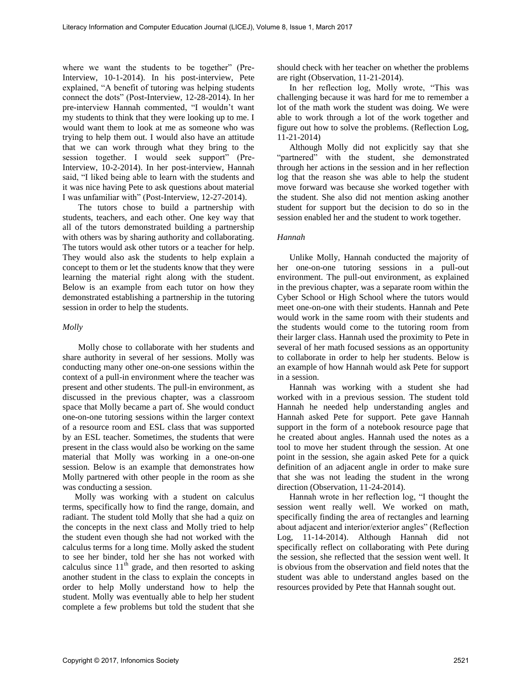where we want the students to be together" (Pre-Interview, 10-1-2014). In his post-interview, Pete explained, "A benefit of tutoring was helping students connect the dots" (Post-Interview, 12-28-2014). In her pre-interview Hannah commented, "I wouldn't want my students to think that they were looking up to me. I would want them to look at me as someone who was trying to help them out. I would also have an attitude that we can work through what they bring to the session together. I would seek support" (Pre-Interview, 10-2-2014). In her post-interview, Hannah said, "I liked being able to learn with the students and it was nice having Pete to ask questions about material I was unfamiliar with" (Post-Interview, 12-27-2014).

 The tutors chose to build a partnership with students, teachers, and each other. One key way that all of the tutors demonstrated building a partnership with others was by sharing authority and collaborating. The tutors would ask other tutors or a teacher for help. They would also ask the students to help explain a concept to them or let the students know that they were learning the material right along with the student. Below is an example from each tutor on how they demonstrated establishing a partnership in the tutoring session in order to help the students.

#### *Molly*

 Molly chose to collaborate with her students and share authority in several of her sessions. Molly was conducting many other one-on-one sessions within the context of a pull-in environment where the teacher was present and other students. The pull-in environment, as discussed in the previous chapter, was a classroom space that Molly became a part of. She would conduct one-on-one tutoring sessions within the larger context of a resource room and ESL class that was supported by an ESL teacher. Sometimes, the students that were present in the class would also be working on the same material that Molly was working in a one-on-one session. Below is an example that demonstrates how Molly partnered with other people in the room as she was conducting a session.

Molly was working with a student on calculus terms, specifically how to find the range, domain, and radiant. The student told Molly that she had a quiz on the concepts in the next class and Molly tried to help the student even though she had not worked with the calculus terms for a long time. Molly asked the student to see her binder, told her she has not worked with calculus since  $11<sup>th</sup>$  grade, and then resorted to asking another student in the class to explain the concepts in order to help Molly understand how to help the student. Molly was eventually able to help her student complete a few problems but told the student that she should check with her teacher on whether the problems are right (Observation, 11-21-2014).

In her reflection log, Molly wrote, "This was challenging because it was hard for me to remember a lot of the math work the student was doing. We were able to work through a lot of the work together and figure out how to solve the problems. (Reflection Log, 11-21-2014)

Although Molly did not explicitly say that she "partnered" with the student, she demonstrated through her actions in the session and in her reflection log that the reason she was able to help the student move forward was because she worked together with the student. She also did not mention asking another student for support but the decision to do so in the session enabled her and the student to work together.

#### *Hannah*

Unlike Molly, Hannah conducted the majority of her one-on-one tutoring sessions in a pull-out environment. The pull-out environment, as explained in the previous chapter, was a separate room within the Cyber School or High School where the tutors would meet one-on-one with their students. Hannah and Pete would work in the same room with their students and the students would come to the tutoring room from their larger class. Hannah used the proximity to Pete in several of her math focused sessions as an opportunity to collaborate in order to help her students. Below is an example of how Hannah would ask Pete for support in a session.

Hannah was working with a student she had worked with in a previous session. The student told Hannah he needed help understanding angles and Hannah asked Pete for support. Pete gave Hannah support in the form of a notebook resource page that he created about angles. Hannah used the notes as a tool to move her student through the session. At one point in the session, she again asked Pete for a quick definition of an adjacent angle in order to make sure that she was not leading the student in the wrong direction (Observation, 11-24-2014).

Hannah wrote in her reflection log, "I thought the session went really well. We worked on math, specifically finding the area of rectangles and learning about adjacent and interior/exterior angles" (Reflection Log, 11-14-2014). Although Hannah did not specifically reflect on collaborating with Pete during the session, she reflected that the session went well. It is obvious from the observation and field notes that the student was able to understand angles based on the resources provided by Pete that Hannah sought out.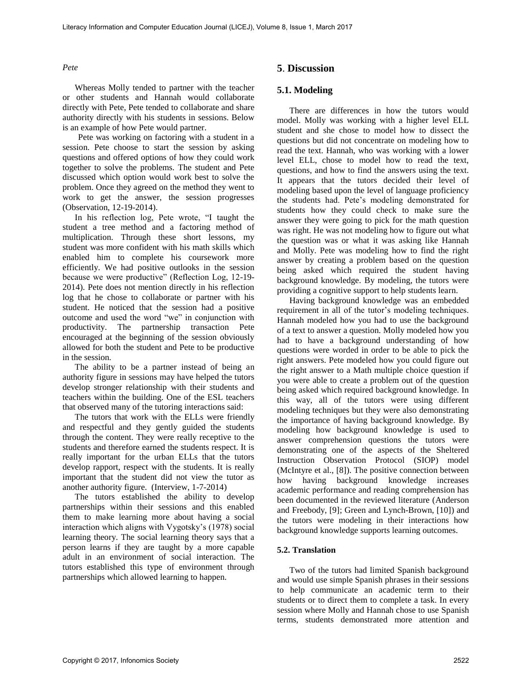#### *Pete*

Whereas Molly tended to partner with the teacher or other students and Hannah would collaborate directly with Pete, Pete tended to collaborate and share authority directly with his students in sessions. Below is an example of how Pete would partner.

 Pete was working on factoring with a student in a session. Pete choose to start the session by asking questions and offered options of how they could work together to solve the problems. The student and Pete discussed which option would work best to solve the problem. Once they agreed on the method they went to work to get the answer, the session progresses (Observation, 12-19-2014).

In his reflection log, Pete wrote, "I taught the student a tree method and a factoring method of multiplication. Through these short lessons, my student was more confident with his math skills which enabled him to complete his coursework more efficiently. We had positive outlooks in the session because we were productive" (Reflection Log, 12-19- 2014). Pete does not mention directly in his reflection log that he chose to collaborate or partner with his student. He noticed that the session had a positive outcome and used the word "we" in conjunction with productivity. The partnership transaction Pete encouraged at the beginning of the session obviously allowed for both the student and Pete to be productive in the session.

The ability to be a partner instead of being an authority figure in sessions may have helped the tutors develop stronger relationship with their students and teachers within the building. One of the ESL teachers that observed many of the tutoring interactions said:

The tutors that work with the ELLs were friendly and respectful and they gently guided the students through the content. They were really receptive to the students and therefore earned the students respect. It is really important for the urban ELLs that the tutors develop rapport, respect with the students. It is really important that the student did not view the tutor as another authority figure. (Interview, 1-7-2014)

The tutors established the ability to develop partnerships within their sessions and this enabled them to make learning more about having a social interaction which aligns with Vygotsky's (1978) social learning theory. The social learning theory says that a person learns if they are taught by a more capable adult in an environment of social interaction. The tutors established this type of environment through partnerships which allowed learning to happen.

# **5**. **Discussion**

## **5.1. Modeling**

There are differences in how the tutors would model. Molly was working with a higher level ELL student and she chose to model how to dissect the questions but did not concentrate on modeling how to read the text. Hannah, who was working with a lower level ELL, chose to model how to read the text, questions, and how to find the answers using the text. It appears that the tutors decided their level of modeling based upon the level of language proficiency the students had. Pete's modeling demonstrated for students how they could check to make sure the answer they were going to pick for the math question was right. He was not modeling how to figure out what the question was or what it was asking like Hannah and Molly. Pete was modeling how to find the right answer by creating a problem based on the question being asked which required the student having background knowledge. By modeling, the tutors were providing a cognitive support to help students learn.

Having background knowledge was an embedded requirement in all of the tutor's modeling techniques. Hannah modeled how you had to use the background of a text to answer a question. Molly modeled how you had to have a background understanding of how questions were worded in order to be able to pick the right answers. Pete modeled how you could figure out the right answer to a Math multiple choice question if you were able to create a problem out of the question being asked which required background knowledge. In this way, all of the tutors were using different modeling techniques but they were also demonstrating the importance of having background knowledge. By modeling how background knowledge is used to answer comprehension questions the tutors were demonstrating one of the aspects of the Sheltered Instruction Observation Protocol (SIOP) model (McIntyre et al., [8]). The positive connection between how having background knowledge increases academic performance and reading comprehension has been documented in the reviewed literature (Anderson and Freebody, [9]; Green and Lynch-Brown, [10]) and the tutors were modeling in their interactions how background knowledge supports learning outcomes.

#### **5.2. Translation**

Two of the tutors had limited Spanish background and would use simple Spanish phrases in their sessions to help communicate an academic term to their students or to direct them to complete a task. In every session where Molly and Hannah chose to use Spanish terms, students demonstrated more attention and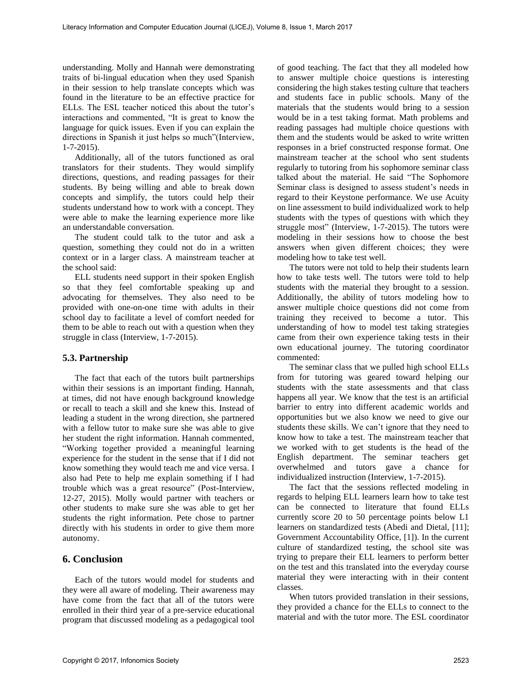understanding. Molly and Hannah were demonstrating traits of bi-lingual education when they used Spanish in their session to help translate concepts which was found in the literature to be an effective practice for ELLs. The ESL teacher noticed this about the tutor's interactions and commented, "It is great to know the language for quick issues. Even if you can explain the directions in Spanish it just helps so much"(Interview, 1-7-2015).

Additionally, all of the tutors functioned as oral translators for their students. They would simplify directions, questions, and reading passages for their students. By being willing and able to break down concepts and simplify, the tutors could help their students understand how to work with a concept. They were able to make the learning experience more like an understandable conversation.

The student could talk to the tutor and ask a question, something they could not do in a written context or in a larger class. A mainstream teacher at the school said:

ELL students need support in their spoken English so that they feel comfortable speaking up and advocating for themselves. They also need to be provided with one-on-one time with adults in their school day to facilitate a level of comfort needed for them to be able to reach out with a question when they struggle in class (Interview, 1-7-2015).

#### **5.3. Partnership**

The fact that each of the tutors built partnerships within their sessions is an important finding. Hannah, at times, did not have enough background knowledge or recall to teach a skill and she knew this. Instead of leading a student in the wrong direction, she partnered with a fellow tutor to make sure she was able to give her student the right information. Hannah commented, "Working together provided a meaningful learning experience for the student in the sense that if I did not know something they would teach me and vice versa. I also had Pete to help me explain something if I had trouble which was a great resource" (Post-Interview, 12-27, 2015). Molly would partner with teachers or other students to make sure she was able to get her students the right information. Pete chose to partner directly with his students in order to give them more autonomy.

# **6. Conclusion**

Each of the tutors would model for students and they were all aware of modeling. Their awareness may have come from the fact that all of the tutors were enrolled in their third year of a pre-service educational program that discussed modeling as a pedagogical tool of good teaching. The fact that they all modeled how to answer multiple choice questions is interesting considering the high stakes testing culture that teachers and students face in public schools. Many of the materials that the students would bring to a session would be in a test taking format. Math problems and reading passages had multiple choice questions with them and the students would be asked to write written responses in a brief constructed response format. One mainstream teacher at the school who sent students regularly to tutoring from his sophomore seminar class talked about the material. He said "The Sophomore Seminar class is designed to assess student's needs in regard to their Keystone performance. We use Acuity on line assessment to build individualized work to help students with the types of questions with which they struggle most" (Interview, 1-7-2015). The tutors were modeling in their sessions how to choose the best answers when given different choices; they were modeling how to take test well.

The tutors were not told to help their students learn how to take tests well. The tutors were told to help students with the material they brought to a session. Additionally, the ability of tutors modeling how to answer multiple choice questions did not come from training they received to become a tutor. This understanding of how to model test taking strategies came from their own experience taking tests in their own educational journey. The tutoring coordinator commented:

The seminar class that we pulled high school ELLs from for tutoring was geared toward helping our students with the state assessments and that class happens all year. We know that the test is an artificial barrier to entry into different academic worlds and opportunities but we also know we need to give our students these skills. We can't ignore that they need to know how to take a test. The mainstream teacher that we worked with to get students is the head of the English department. The seminar teachers get overwhelmed and tutors gave a chance for individualized instruction (Interview, 1-7-2015).

The fact that the sessions reflected modeling in regards to helping ELL learners learn how to take test can be connected to literature that found ELLs currently score 20 to 50 percentage points below L1 learners on standardized tests (Abedi and Dietal, [11]; Government Accountability Office, [1]). In the current culture of standardized testing, the school site was trying to prepare their ELL learners to perform better on the test and this translated into the everyday course material they were interacting with in their content classes.

When tutors provided translation in their sessions, they provided a chance for the ELLs to connect to the material and with the tutor more. The ESL coordinator